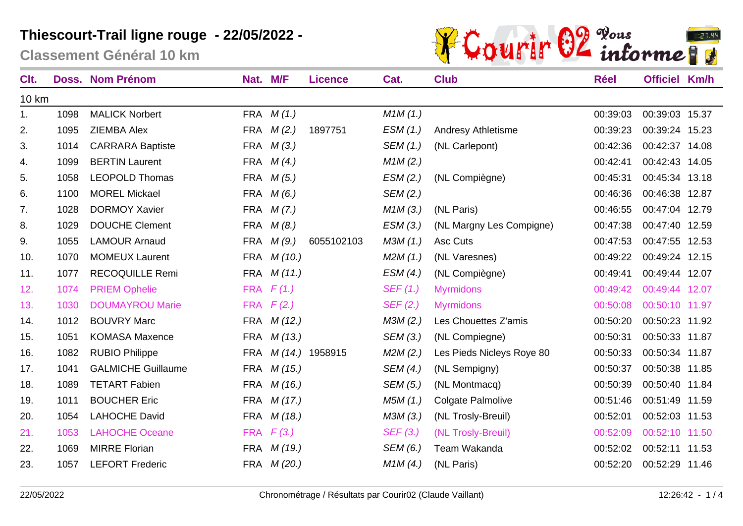**Classement Général 10 km**



| Clt.         |      | <b>Doss. Nom Prénom</b>   | Nat. M/F   |                    | <b>Licence</b>  | Cat.     | <b>Club</b>               | <b>Réel</b> | <b>Officiel Km/h</b> |       |
|--------------|------|---------------------------|------------|--------------------|-----------------|----------|---------------------------|-------------|----------------------|-------|
| <b>10 km</b> |      |                           |            |                    |                 |          |                           |             |                      |       |
| 1.           | 1098 | <b>MALICK Norbert</b>     |            | FRA $M(1.)$        |                 | M1M(1.)  |                           | 00:39:03    | 00:39:03 15.37       |       |
| 2.           | 1095 | <b>ZIEMBA Alex</b>        |            | FRA $M(2.)$        | 1897751         | ESM(1.)  | <b>Andresy Athletisme</b> | 00:39:23    | 00:39:24 15.23       |       |
| 3.           | 1014 | <b>CARRARA Baptiste</b>   |            | FRA $M(3.)$        |                 | SEM (1.) | (NL Carlepont)            | 00:42:36    | 00:42:37 14.08       |       |
| 4.           | 1099 | <b>BERTIN Laurent</b>     |            | FRA $M(4.)$        |                 | M1M(2.)  |                           | 00:42:41    | 00:42:43 14.05       |       |
| 5.           | 1058 | <b>LEOPOLD Thomas</b>     |            | FRA $M(5.)$        |                 | ESM(2.)  | (NL Compiègne)            | 00:45:31    | 00:45:34 13.18       |       |
| 6.           | 1100 | <b>MOREL Mickael</b>      | FRA        | M(6.)              |                 | SEM (2.) |                           | 00:46:36    | 00:46:38 12.87       |       |
| 7.           | 1028 | <b>DORMOY Xavier</b>      | <b>FRA</b> | M(7.)              |                 | M1M(3.)  | (NL Paris)                | 00:46:55    | 00:47:04 12.79       |       |
| 8.           | 1029 | <b>DOUCHE Clement</b>     | <b>FRA</b> | M(8.)              |                 | ESM(3.)  | (NL Margny Les Compigne)  | 00:47:38    | 00:47:40             | 12.59 |
| 9.           | 1055 | <b>LAMOUR Arnaud</b>      | <b>FRA</b> | M (9.)             | 6055102103      | M3M(1.)  | Asc Cuts                  | 00:47:53    | 00:47:55 12.53       |       |
| 10.          | 1070 | <b>MOMEUX Laurent</b>     | <b>FRA</b> | M (10.)            |                 | M2M(1.)  | (NL Varesnes)             | 00:49:22    | 00:49:24 12.15       |       |
| 11.          | 1077 | <b>RECOQUILLE Remi</b>    | <b>FRA</b> | M(11.)             |                 | ESM(4.)  | (NL Compiègne)            | 00:49:41    | 00:49:44 12.07       |       |
| 12.          | 1074 | <b>PRIEM Ophelie</b>      | <b>FRA</b> | F(1.)              |                 | SEF(1.)  | <b>Myrmidons</b>          | 00:49:42    | 00:49:44 12.07       |       |
| 13.          | 1030 | <b>DOUMAYROU Marie</b>    |            | FRA $F(2.)$        |                 | SEF(2.)  | <b>Myrmidons</b>          | 00:50:08    | 00:50:10 11.97       |       |
| 14.          | 1012 | <b>BOUVRY Marc</b>        |            | FRA <i>M</i> (12.) |                 | M3M (2.) | Les Chouettes Z'amis      | 00:50:20    | 00:50:23 11.92       |       |
| 15.          | 1051 | <b>KOMASA Maxence</b>     |            | FRA <i>M</i> (13.) |                 | SEM (3.) | (NL Compiegne)            | 00:50:31    | 00:50:33 11.87       |       |
| 16.          | 1082 | <b>RUBIO Philippe</b>     | FRA        |                    | M (14.) 1958915 | M2M(2.)  | Les Pieds Nicleys Roye 80 | 00:50:33    | 00:50:34 11.87       |       |
| 17.          | 1041 | <b>GALMICHE Guillaume</b> |            | FRA <i>M</i> (15.) |                 | SEM (4.) | (NL Sempigny)             | 00:50:37    | 00:50:38 11.85       |       |
| 18.          | 1089 | <b>TETART Fabien</b>      |            | FRA <i>M</i> (16.) |                 | SEM (5.) | (NL Montmacq)             | 00:50:39    | 00:50:40 11.84       |       |
| 19.          | 1011 | <b>BOUCHER Eric</b>       |            | FRA <i>M</i> (17.) |                 | M5M (1.) | Colgate Palmolive         | 00:51:46    | 00:51:49 11.59       |       |
| 20.          | 1054 | <b>LAHOCHE David</b>      |            | FRA <i>M</i> (18.) |                 | M3M (3.) | (NL Trosly-Breuil)        | 00:52:01    | 00:52:03 11.53       |       |
| 21.          | 1053 | <b>LAHOCHE Oceane</b>     |            | FRA $F(3.)$        |                 | SEF(3.)  | (NL Trosly-Breuil)        | 00:52:09    | 00:52:10 11.50       |       |
| 22.          | 1069 | <b>MIRRE Florian</b>      | <b>FRA</b> | M (19.)            |                 | SEM (6.) | Team Wakanda              | 00:52:02    | 00:52:11 11.53       |       |
| 23.          | 1057 | <b>LEFORT Frederic</b>    |            | FRA <i>M</i> (20.) |                 | M1M(4.)  | (NL Paris)                | 00:52:20    | 00:52:29 11.46       |       |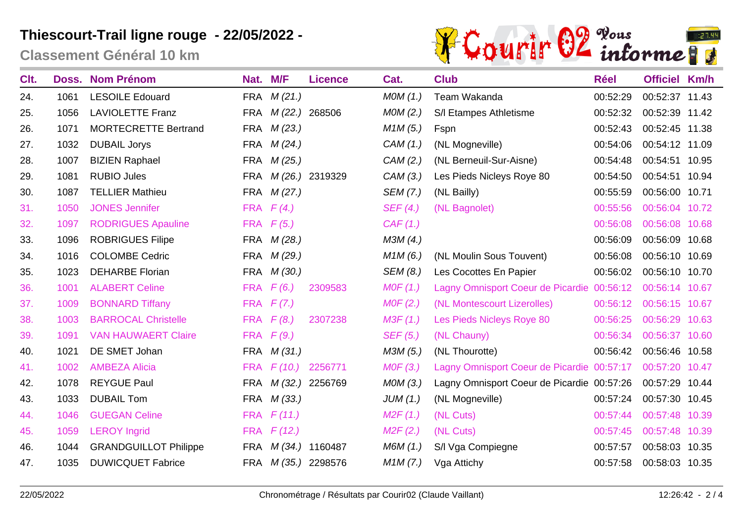**Classement Général 10 km**



| C <sub>It.</sub> |      | <b>Doss. Nom Prénom</b>      | Nat. M/F   |                    | <b>Licence</b>      | Cat.     | <b>Club</b>                                | <b>Réel</b> | <b>Officiel Km/h</b> |       |
|------------------|------|------------------------------|------------|--------------------|---------------------|----------|--------------------------------------------|-------------|----------------------|-------|
| 24.              | 1061 | <b>LESOILE Edouard</b>       | FRA        | M(21.)             |                     | MOM(1.)  | Team Wakanda                               | 00:52:29    | 00:52:37 11.43       |       |
| 25.              | 1056 | <b>LAVIOLETTE Franz</b>      | <b>FRA</b> |                    | M (22.) 268506      | MOM(2.)  | S/I Etampes Athletisme                     | 00:52:32    | 00:52:39 11.42       |       |
| 26.              | 1071 | <b>MORTECRETTE Bertrand</b>  | <b>FRA</b> | M(23.)             |                     | M1M(5.)  | Fspn                                       | 00:52:43    | 00:52:45 11.38       |       |
| 27.              | 1032 | <b>DUBAIL Jorys</b>          | <b>FRA</b> | M(24)              |                     | CAM(1.)  | (NL Mogneville)                            | 00:54:06    | 00:54:12 11.09       |       |
| 28.              | 1007 | <b>BIZIEN Raphael</b>        | <b>FRA</b> | M (25.)            |                     | CAM (2.) | (NL Berneuil-Sur-Aisne)                    | 00:54:48    | 00:54:51 10.95       |       |
| 29.              | 1081 | <b>RUBIO Jules</b>           | <b>FRA</b> |                    | M (26.) 2319329     | CAM (3.) | Les Pieds Nicleys Roye 80                  | 00:54:50    | 00:54:51 10.94       |       |
| 30.              | 1087 | <b>TELLIER Mathieu</b>       | <b>FRA</b> | M(27.)             |                     | SEM (7.) | (NL Bailly)                                | 00:55:59    | 00:56:00 10.71       |       |
| 31.              | 1050 | <b>JONES Jennifer</b>        | <b>FRA</b> | F(4)               |                     | SEF(4.)  | (NL Bagnolet)                              | 00:55:56    | 00:56:04 10.72       |       |
| 32.              | 1097 | <b>RODRIGUES Apauline</b>    | <b>FRA</b> | F(5.)              |                     | CAF(1.)  |                                            | 00:56:08    | 00:56:08 10.68       |       |
| 33.              | 1096 | <b>ROBRIGUES Filipe</b>      | FRA        | M (28.)            |                     | M3M (4.) |                                            | 00:56:09    | 00:56:09 10.68       |       |
| 34.              | 1016 | <b>COLOMBE Cedric</b>        | FRA        | M (29.)            |                     | M1M(6.)  | (NL Moulin Sous Touvent)                   | 00:56:08    | 00:56:10 10.69       |       |
| 35.              | 1023 | <b>DEHARBE Florian</b>       | FRA        | M (30.)            |                     | SEM (8.) | Les Cocottes En Papier                     | 00:56:02    | 00:56:10 10.70       |       |
| 36.              | 1001 | <b>ALABERT Celine</b>        | <b>FRA</b> | F(6.)              | 2309583             | MOF(1.)  | Lagny Omnisport Coeur de Picardie 00:56:12 |             | 00:56:14             | 10.67 |
| 37.              | 1009 | <b>BONNARD Tiffany</b>       | <b>FRA</b> | F(7)               |                     | MOF(2.)  | (NL Montescourt Lizerolles)                | 00:56:12    | 00:56:15 10.67       |       |
| 38.              | 1003 | <b>BARROCAL Christelle</b>   | <b>FRA</b> | F(8.)              | 2307238             | M3F(1.)  | Les Pieds Nicleys Roye 80                  | 00:56:25    | 00:56:29 10.63       |       |
| 39.              | 1091 | <b>VAN HAUWAERT Claire</b>   |            | FRA $F(9.)$        |                     | SEF (5.) | (NL Chauny)                                | 00:56:34    | 00:56:37 10.60       |       |
| 40.              | 1021 | DE SMET Johan                |            | FRA <i>M</i> (31.) |                     | M3M (5.) | (NL Thourotte)                             | 00:56:42    | 00:56:46 10.58       |       |
| 41.              | 1002 | <b>AMBEZA Alicia</b>         | <b>FRA</b> |                    | $F(10.)$ 2256771    | MOF(3.)  | Lagny Omnisport Coeur de Picardie 00:57:17 |             | 00:57:20 10.47       |       |
| 42.              | 1078 | <b>REYGUE Paul</b>           | <b>FRA</b> |                    | M (32.) 2256769     | MOM(3.)  | Lagny Omnisport Coeur de Picardie 00:57:26 |             | 00:57:29 10.44       |       |
| 43.              | 1033 | <b>DUBAIL Tom</b>            | FRA        | M (33.)            |                     | JUM(1.)  | (NL Mogneville)                            | 00:57:24    | 00:57:30 10.45       |       |
| 44.              | 1046 | <b>GUEGAN Celine</b>         | <b>FRA</b> | F(11.)             |                     | M2F(1.)  | (NL Cuts)                                  | 00:57:44    | 00:57:48 10.39       |       |
| 45.              | 1059 | <b>LEROY Ingrid</b>          | <b>FRA</b> | F(12.)             |                     | M2F(2.)  | (NL Cuts)                                  | 00:57:45    | 00:57:48 10.39       |       |
| 46.              | 1044 | <b>GRANDGUILLOT Philippe</b> | <b>FRA</b> |                    | M (34.) 1160487     | M6M (1.) | S/I Vga Compiegne                          | 00:57:57    | 00:58:03 10.35       |       |
| 47.              | 1035 | <b>DUWICQUET Fabrice</b>     |            |                    | FRA M (35.) 2298576 | M1M(7.)  | Vga Attichy                                | 00:57:58    | 00:58:03 10.35       |       |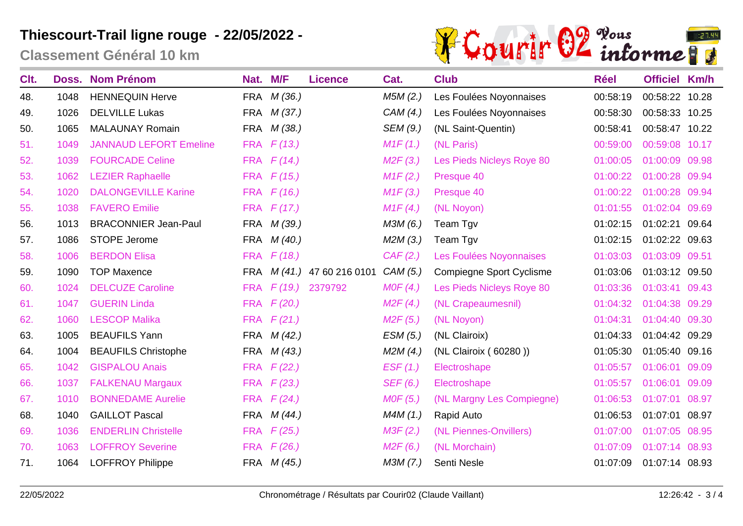**Classement Général 10 km**



| Clt. | Doss. | <b>Nom Prénom</b>             | Nat.       | M/F                | <b>Licence</b>         | Cat.     | <b>Club</b>                     | <b>Réel</b> | <b>Officiel Km/h</b> |       |
|------|-------|-------------------------------|------------|--------------------|------------------------|----------|---------------------------------|-------------|----------------------|-------|
| 48.  | 1048  | <b>HENNEQUIN Herve</b>        | <b>FRA</b> | M(36.)             |                        | M5M(2.)  | Les Foulées Noyonnaises         | 00:58:19    | 00:58:22 10.28       |       |
| 49.  | 1026  | <b>DELVILLE Lukas</b>         | FRA        | M(37.)             |                        | CAM(4.)  | Les Foulées Noyonnaises         | 00:58:30    | 00:58:33 10.25       |       |
| 50.  | 1065  | <b>MALAUNAY Romain</b>        | <b>FRA</b> | M(38.)             |                        | SEM (9.) | (NL Saint-Quentin)              | 00:58:41    | 00:58:47 10.22       |       |
| 51.  | 1049  | <b>JANNAUD LEFORT Emeline</b> | <b>FRA</b> | F(13.)             |                        | M1F(1.)  | (NL Paris)                      | 00:59:00    | 00:59:08 10.17       |       |
| 52.  | 1039  | <b>FOURCADE Celine</b>        | <b>FRA</b> | F(14)              |                        | M2F(3.)  | Les Pieds Nicleys Roye 80       | 01:00:05    | 01:00:09             | 09.98 |
| 53.  | 1062  | <b>LEZIER Raphaelle</b>       | <b>FRA</b> | F(15.)             |                        | M1F(2.)  | Presque 40                      | 01:00:22    | 01:00:28 09.94       |       |
| 54.  | 1020  | <b>DALONGEVILLE Karine</b>    | <b>FRA</b> | F(16.)             |                        | M1F(3.)  | Presque 40                      | 01:00:22    | 01:00:28             | 09.94 |
| 55.  | 1038  | <b>FAVERO Emilie</b>          | <b>FRA</b> | F(17)              |                        | M1F(4)   | (NL Noyon)                      | 01:01:55    | 01:02:04 09.69       |       |
| 56.  | 1013  | <b>BRACONNIER Jean-Paul</b>   | <b>FRA</b> | M(39.)             |                        | M3M (6.) | Team Tgv                        | 01:02:15    | 01:02:21             | 09.64 |
| 57.  | 1086  | <b>STOPE Jerome</b>           | <b>FRA</b> | M(40.)             |                        | M2M(3.)  | Team Tgv                        | 01:02:15    | 01:02:22 09.63       |       |
| 58.  | 1006  | <b>BERDON Elisa</b>           | <b>FRA</b> | F(18.)             |                        | CAF(2.)  | Les Foulées Noyonnaises         | 01:03:03    | 01:03:09             | 09.51 |
| 59.  | 1090  | <b>TOP Maxence</b>            | <b>FRA</b> |                    | M (41.) 47 60 216 0101 | CAM(5.)  | <b>Compiegne Sport Cyclisme</b> | 01:03:06    | 01:03:12 09.50       |       |
| 60.  | 1024  | <b>DELCUZE Caroline</b>       | <b>FRA</b> | F(19.)             | 2379792                | MOF(4.)  | Les Pieds Nicleys Roye 80       | 01:03:36    | 01:03:41             | 09.43 |
| 61.  | 1047  | <b>GUERIN Linda</b>           | <b>FRA</b> | F(20.)             |                        | M2F(4)   | (NL Crapeaumesnil)              | 01:04:32    | 01:04:38 09.29       |       |
| 62.  | 1060  | <b>LESCOP Malika</b>          | <b>FRA</b> | F(21.)             |                        | M2F(5.)  | (NL Noyon)                      | 01:04:31    | 01:04:40 09.30       |       |
| 63.  | 1005  | <b>BEAUFILS Yann</b>          |            | FRA <i>M (42.)</i> |                        | ESM(5.)  | (NL Clairoix)                   | 01:04:33    | 01:04:42 09.29       |       |
| 64.  | 1004  | <b>BEAUFILS Christophe</b>    | FRA        | M(43.)             |                        | M2M(4.)  | (NL Clairoix (60280))           | 01:05:30    | 01:05:40 09.16       |       |
| 65.  | 1042  | <b>GISPALOU Anais</b>         | <b>FRA</b> | F(22.)             |                        | EST(1.)  | Electroshape                    | 01:05:57    | 01:06:01             | 09.09 |
| 66.  | 1037  | <b>FALKENAU Margaux</b>       | <b>FRA</b> | F(23.)             |                        | SEF (6.) | Electroshape                    | 01:05:57    | 01:06:01             | 09.09 |
| 67.  | 1010  | <b>BONNEDAME Aurelie</b>      | <b>FRA</b> | F(24)              |                        | MOF(5.)  | (NL Margny Les Compiegne)       | 01:06:53    | 01:07:01 08.97       |       |
| 68.  | 1040  | <b>GAILLOT Pascal</b>         | FRA        | M(44)              |                        | M4M(1.)  | Rapid Auto                      | 01:06:53    | 01:07:01 08.97       |       |
| 69.  | 1036  | <b>ENDERLIN Christelle</b>    | <b>FRA</b> | F(25.)             |                        | M3F(2.)  | (NL Piennes-Onvillers)          | 01:07:00    | 01:07:05 08.95       |       |
| 70.  | 1063  | <b>LOFFROY Severine</b>       | <b>FRA</b> | F(26.)             |                        | M2F(6.)  | (NL Morchain)                   | 01:07:09    | 01:07:14 08.93       |       |
| 71.  | 1064  | <b>LOFFROY Philippe</b>       |            | FRA <i>M (45.)</i> |                        | M3M(7.)  | Senti Nesle                     | 01:07:09    | 01:07:14 08.93       |       |